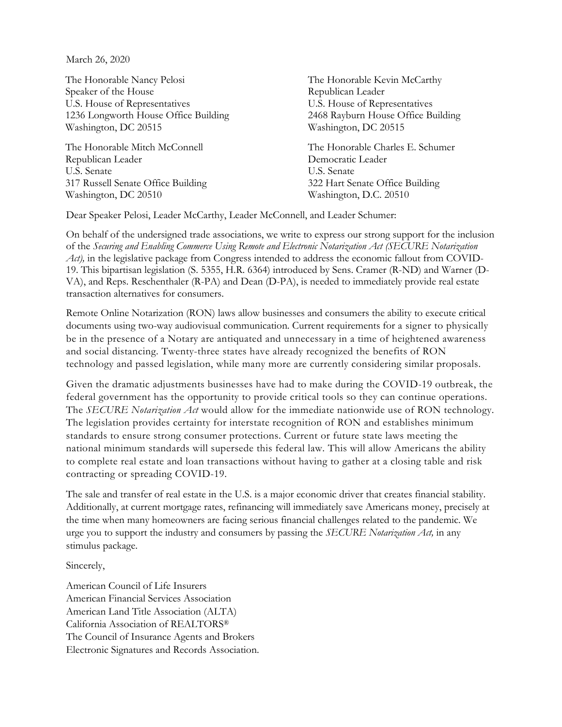March 26, 2020

The Honorable Nancy Pelosi Speaker of the House U.S. House of Representatives 1236 Longworth House Office Building Washington, DC 20515

The Honorable Mitch McConnell Republican Leader U.S. Senate 317 Russell Senate Office Building Washington, DC 20510

The Honorable Kevin McCarthy Republican Leader U.S. House of Representatives 2468 Rayburn House Office Building Washington, DC 20515

The Honorable Charles E. Schumer Democratic Leader U.S. Senate 322 Hart Senate Office Building Washington, D.C. 20510

Dear Speaker Pelosi, Leader McCarthy, Leader McConnell, and Leader Schumer:

On behalf of the undersigned trade associations, we write to express our strong support for the inclusion of the *Securing and Enabling Commerce Using Remote and Electronic Notarization Act (SECURE Notarization Act*), in the legislative package from Congress intended to address the economic fallout from COVID-19. This bipartisan legislation (S. 5355, H.R. 6364) introduced by Sens. Cramer (R-ND) and Warner (D-VA), and Reps. Reschenthaler (R-PA) and Dean (D-PA), is needed to immediately provide real estate transaction alternatives for consumers.

Remote Online Notarization (RON) laws allow businesses and consumers the ability to execute critical documents using two-way audiovisual communication. Current requirements for a signer to physically be in the presence of a Notary are antiquated and unnecessary in a time of heightened awareness and social distancing. Twenty-three states have already recognized the benefits of RON technology and passed legislation, while many more are currently considering similar proposals.

Given the dramatic adjustments businesses have had to make during the COVID-19 outbreak, the federal government has the opportunity to provide critical tools so they can continue operations. The *SECURE Notarization Act* would allow for the immediate nationwide use of RON technology. The legislation provides certainty for interstate recognition of RON and establishes minimum standards to ensure strong consumer protections. Current or future state laws meeting the national minimum standards will supersede this federal law. This will allow Americans the ability to complete real estate and loan transactions without having to gather at a closing table and risk contracting or spreading COVID-19.

The sale and transfer of real estate in the U.S. is a major economic driver that creates financial stability. Additionally, at current mortgage rates, refinancing will immediately save Americans money, precisely at the time when many homeowners are facing serious financial challenges related to the pandemic. We urge you to support the industry and consumers by passing the *SECURE Notarization Act,* in any stimulus package.

Sincerely,

American Council of Life Insurers American Financial Services Association American Land Title Association (ALTA) California Association of REALTORS® The Council of Insurance Agents and Brokers Electronic Signatures and Records Association.